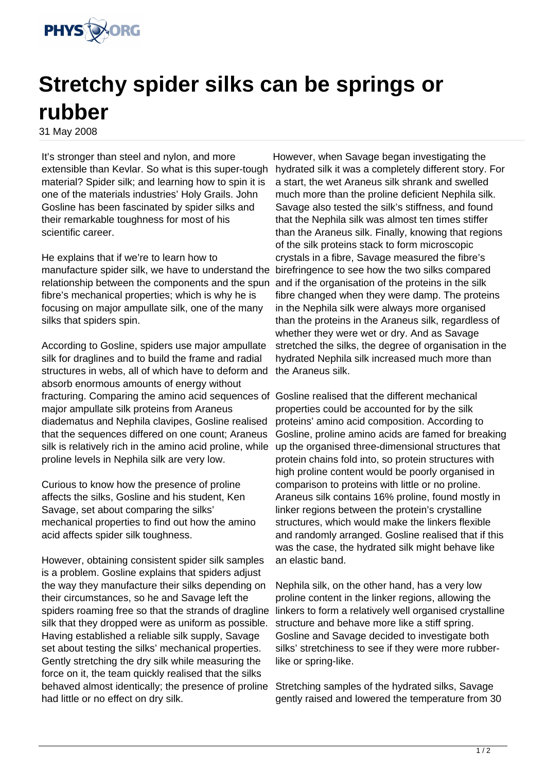

## **Stretchy spider silks can be springs or rubber**

31 May 2008

It's stronger than steel and nylon, and more extensible than Kevlar. So what is this super-tough material? Spider silk; and learning how to spin it is one of the materials industries' Holy Grails. John Gosline has been fascinated by spider silks and their remarkable toughness for most of his scientific career.

He explains that if we're to learn how to manufacture spider silk, we have to understand the relationship between the components and the spun fibre's mechanical properties; which is why he is focusing on major ampullate silk, one of the many silks that spiders spin.

According to Gosline, spiders use major ampullate silk for draglines and to build the frame and radial structures in webs, all of which have to deform and absorb enormous amounts of energy without fracturing. Comparing the amino acid sequences of Gosline realised that the different mechanical major ampullate silk proteins from Araneus diadematus and Nephila clavipes, Gosline realised that the sequences differed on one count; Araneus silk is relatively rich in the amino acid proline, while proline levels in Nephila silk are very low.

Curious to know how the presence of proline affects the silks, Gosline and his student, Ken Savage, set about comparing the silks' mechanical properties to find out how the amino acid affects spider silk toughness.

However, obtaining consistent spider silk samples is a problem. Gosline explains that spiders adjust the way they manufacture their silks depending on their circumstances, so he and Savage left the spiders roaming free so that the strands of dragline silk that they dropped were as uniform as possible. Having established a reliable silk supply, Savage set about testing the silks' mechanical properties. Gently stretching the dry silk while measuring the force on it, the team quickly realised that the silks behaved almost identically; the presence of proline had little or no effect on dry silk.

However, when Savage began investigating the hydrated silk it was a completely different story. For a start, the wet Araneus silk shrank and swelled much more than the proline deficient Nephila silk. Savage also tested the silk's stiffness, and found that the Nephila silk was almost ten times stiffer than the Araneus silk. Finally, knowing that regions of the silk proteins stack to form microscopic crystals in a fibre, Savage measured the fibre's birefringence to see how the two silks compared and if the organisation of the proteins in the silk fibre changed when they were damp. The proteins in the Nephila silk were always more organised than the proteins in the Araneus silk, regardless of whether they were wet or dry. And as Savage stretched the silks, the degree of organisation in the hydrated Nephila silk increased much more than the Araneus silk.

properties could be accounted for by the silk proteins' amino acid composition. According to Gosline, proline amino acids are famed for breaking up the organised three-dimensional structures that protein chains fold into, so protein structures with high proline content would be poorly organised in comparison to proteins with little or no proline. Araneus silk contains 16% proline, found mostly in linker regions between the protein's crystalline structures, which would make the linkers flexible and randomly arranged. Gosline realised that if this was the case, the hydrated silk might behave like an elastic band.

Nephila silk, on the other hand, has a very low proline content in the linker regions, allowing the linkers to form a relatively well organised crystalline structure and behave more like a stiff spring. Gosline and Savage decided to investigate both silks' stretchiness to see if they were more rubberlike or spring-like.

Stretching samples of the hydrated silks, Savage gently raised and lowered the temperature from 30